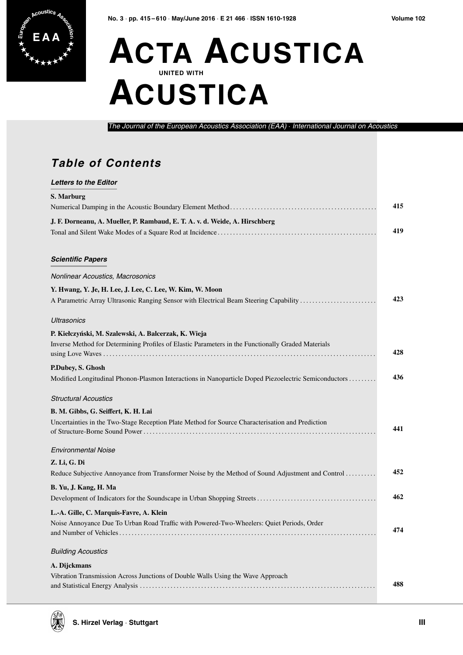## **ACTA ACUSTICA UNITED WITH ACUSTICA**

The Journal of the European Acoustics Association (EAA) · International Journal on Acoustics

## **Table of Contents**

| <b>Letters to the Editor</b>                                                                         |     |
|------------------------------------------------------------------------------------------------------|-----|
| S. Marburg                                                                                           |     |
|                                                                                                      | 415 |
| J. F. Dorneanu, A. Mueller, P. Rambaud, E. T. A. v. d. Weide, A. Hirschberg                          |     |
|                                                                                                      | 419 |
| <b>Scientific Papers</b>                                                                             |     |
| Nonlinear Acoustics, Macrosonics                                                                     |     |
| Y. Hwang, Y. Je, H. Lee, J. Lee, C. Lee, W. Kim, W. Moon                                             |     |
| A Parametric Array Ultrasonic Ranging Sensor with Electrical Beam Steering Capability                | 423 |
| <b>Ultrasonics</b>                                                                                   |     |
| P. Kiełczyński, M. Szalewski, A. Balcerzak, K. Wieja                                                 |     |
| Inverse Method for Determining Profiles of Elastic Parameters in the Functionally Graded Materials   | 428 |
| P.Dubey, S. Ghosh                                                                                    |     |
| Modified Longitudinal Phonon-Plasmon Interactions in Nanoparticle Doped Piezoelectric Semiconductors | 436 |
| <b>Structural Acoustics</b>                                                                          |     |
| B. M. Gibbs, G. Seiffert, K. H. Lai                                                                  |     |
| Uncertainties in the Two-Stage Reception Plate Method for Source Characterisation and Prediction     | 441 |
| <b>Environmental Noise</b>                                                                           |     |
| Z. Li, G. Di                                                                                         |     |
| Reduce Subjective Annoyance from Transformer Noise by the Method of Sound Adjustment and Control     | 452 |
| B. Yu, J. Kang, H. Ma                                                                                |     |
|                                                                                                      | 462 |
| L.-A. Gille, C. Marquis-Favre, A. Klein                                                              |     |
| Noise Annoyance Due To Urban Road Traffic with Powered-Two-Wheelers: Quiet Periods, Order            | 474 |
| <b>Building Acoustics</b>                                                                            |     |
| A. Dijckmans                                                                                         |     |
| Vibration Transmission Across Junctions of Double Walls Using the Wave Approach                      |     |
|                                                                                                      | 488 |